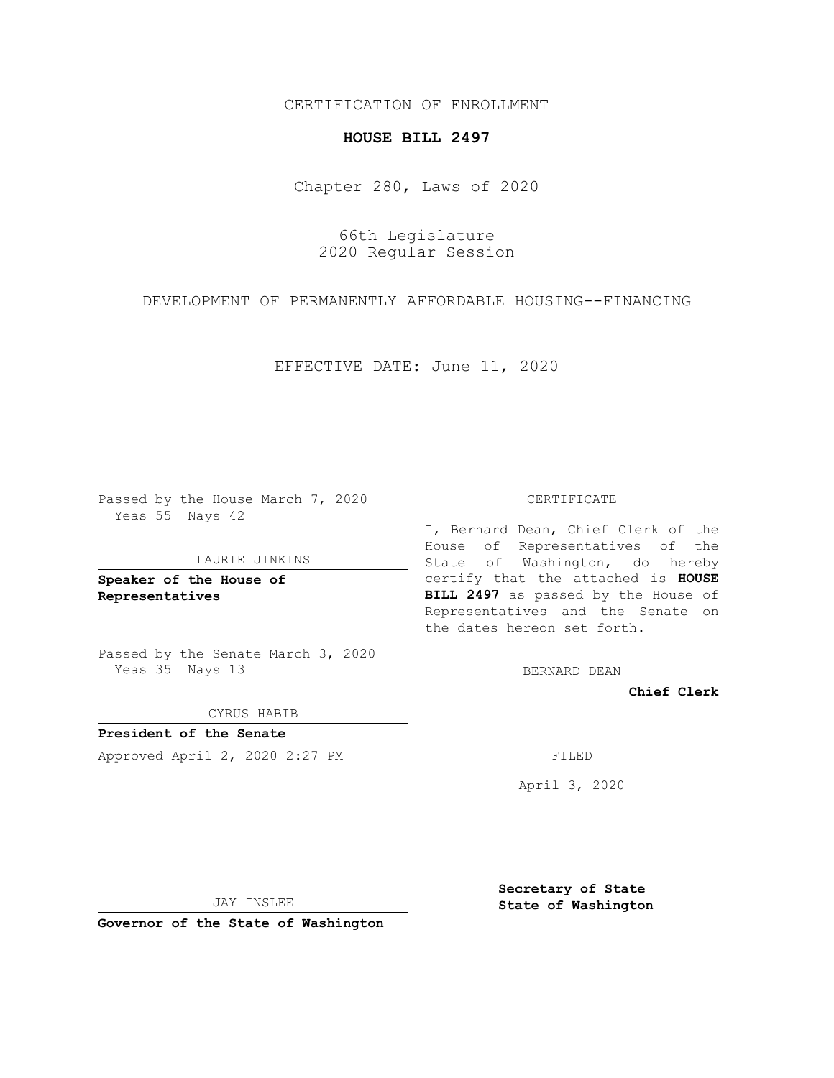CERTIFICATION OF ENROLLMENT

## **HOUSE BILL 2497**

Chapter 280, Laws of 2020

66th Legislature 2020 Regular Session

DEVELOPMENT OF PERMANENTLY AFFORDABLE HOUSING--FINANCING

EFFECTIVE DATE: June 11, 2020

Passed by the House March 7, 2020 Yeas 55 Nays 42

LAURIE JINKINS

**Speaker of the House of Representatives**

Passed by the Senate March 3, 2020 Yeas 35 Nays 13

CYRUS HABIB

**President of the Senate** Approved April 2, 2020 2:27 PM

CERTIFICATE

I, Bernard Dean, Chief Clerk of the House of Representatives of the State of Washington, do hereby certify that the attached is **HOUSE BILL 2497** as passed by the House of Representatives and the Senate on the dates hereon set forth.

BERNARD DEAN

**Chief Clerk**

April 3, 2020

JAY INSLEE

**Governor of the State of Washington**

**Secretary of State State of Washington**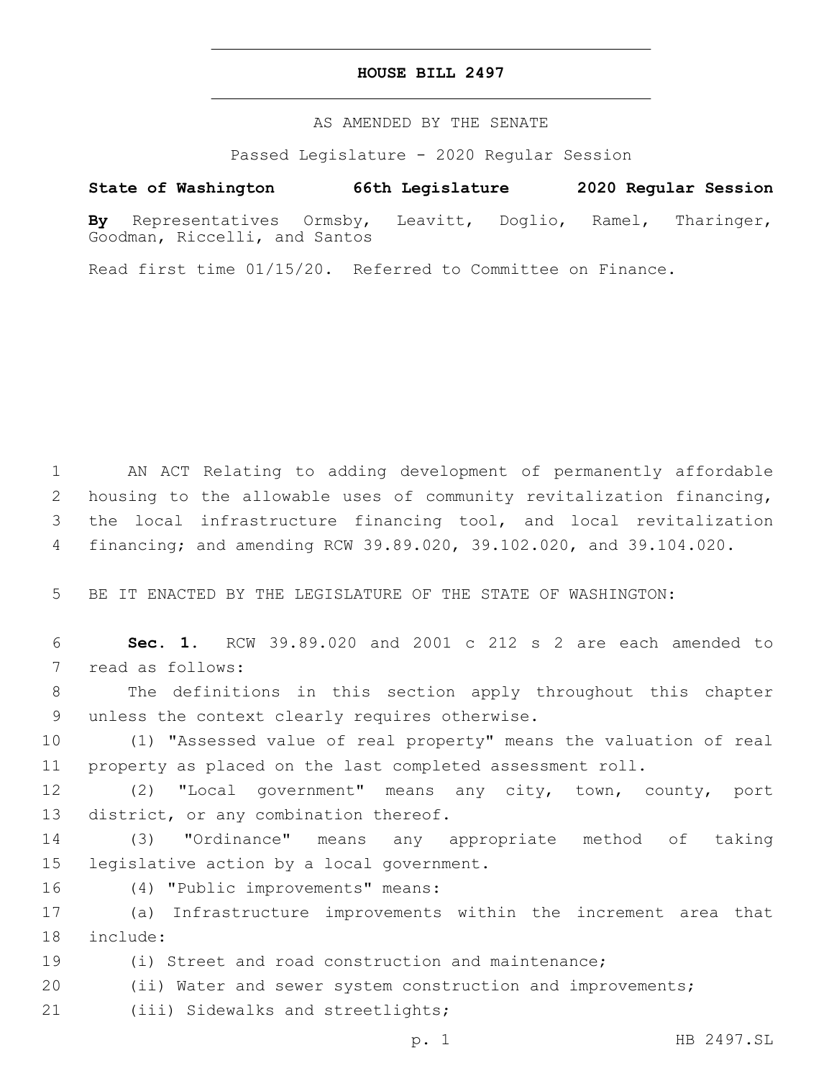## **HOUSE BILL 2497**

AS AMENDED BY THE SENATE

Passed Legislature - 2020 Regular Session

## **State of Washington 66th Legislature 2020 Regular Session**

**By** Representatives Ormsby, Leavitt, Doglio, Ramel, Tharinger, Goodman, Riccelli, and Santos

Read first time 01/15/20. Referred to Committee on Finance.

 AN ACT Relating to adding development of permanently affordable housing to the allowable uses of community revitalization financing, the local infrastructure financing tool, and local revitalization financing; and amending RCW 39.89.020, 39.102.020, and 39.104.020.

5 BE IT ENACTED BY THE LEGISLATURE OF THE STATE OF WASHINGTON:

6 **Sec. 1.** RCW 39.89.020 and 2001 c 212 s 2 are each amended to 7 read as follows:

8 The definitions in this section apply throughout this chapter 9 unless the context clearly requires otherwise.

10 (1) "Assessed value of real property" means the valuation of real 11 property as placed on the last completed assessment roll.

12 (2) "Local government" means any city, town, county, port 13 district, or any combination thereof.

14 (3) "Ordinance" means any appropriate method of taking 15 legislative action by a local government.

16 (4) "Public improvements" means:

17 (a) Infrastructure improvements within the increment area that 18 include:

19 (i) Street and road construction and maintenance;

20 (ii) Water and sewer system construction and improvements;

21 (iii) Sidewalks and streetlights;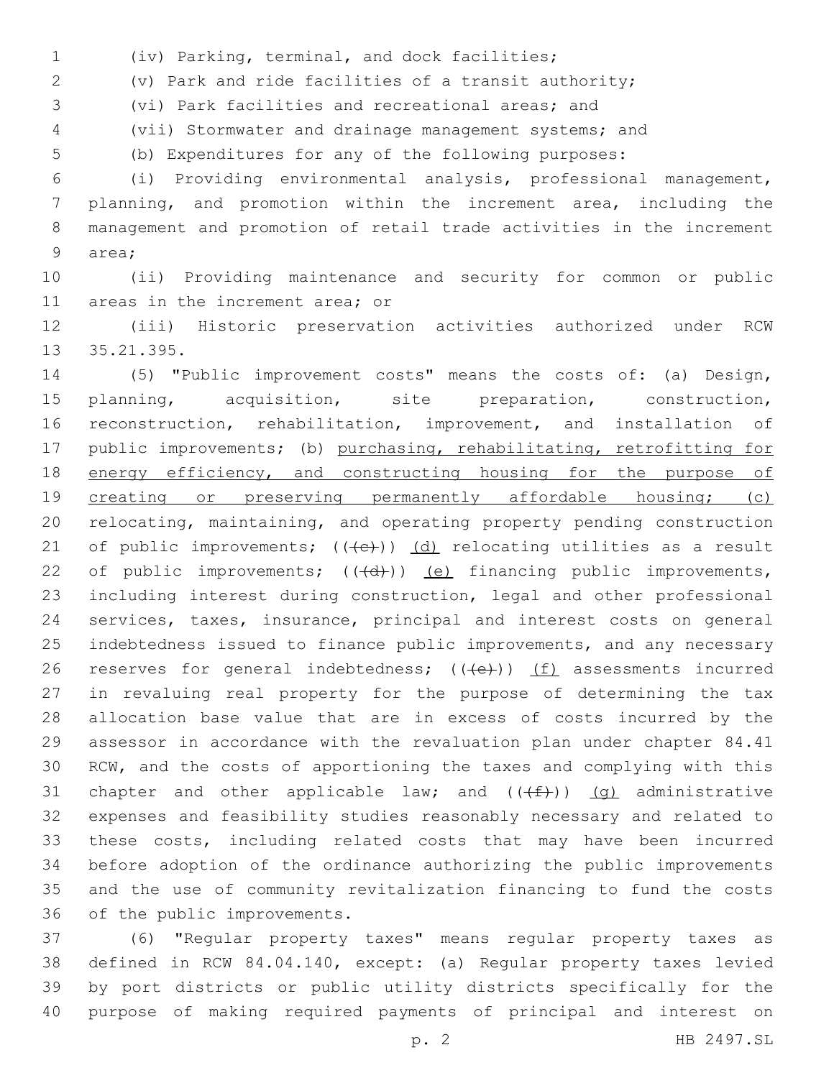(iv) Parking, terminal, and dock facilities;1

(v) Park and ride facilities of a transit authority;

(vi) Park facilities and recreational areas; and

(vii) Stormwater and drainage management systems; and

(b) Expenditures for any of the following purposes:

 (i) Providing environmental analysis, professional management, planning, and promotion within the increment area, including the management and promotion of retail trade activities in the increment 9 area;

 (ii) Providing maintenance and security for common or public 11 areas in the increment area; or

 (iii) Historic preservation activities authorized under RCW 13 35.21.395.

 (5) "Public improvement costs" means the costs of: (a) Design, planning, acquisition, site preparation, construction, reconstruction, rehabilitation, improvement, and installation of 17 public improvements; (b) purchasing, rehabilitating, retrofitting for 18 energy efficiency, and constructing housing for the purpose of 19 creating or preserving permanently affordable housing; (c) relocating, maintaining, and operating property pending construction 21 of public improvements;  $((e+))$   $(d)$  relocating utilities as a result 22 of public improvements;  $((+d))$   $(e)$  financing public improvements, including interest during construction, legal and other professional services, taxes, insurance, principal and interest costs on general indebtedness issued to finance public improvements, and any necessary 26 reserves for general indebtedness;  $((+e))$   $(f)$  assessments incurred in revaluing real property for the purpose of determining the tax allocation base value that are in excess of costs incurred by the assessor in accordance with the revaluation plan under chapter 84.41 RCW, and the costs of apportioning the taxes and complying with this 31 chapter and other applicable law; and  $((+f))$   $(g)$  administrative expenses and feasibility studies reasonably necessary and related to these costs, including related costs that may have been incurred before adoption of the ordinance authorizing the public improvements and the use of community revitalization financing to fund the costs 36 of the public improvements.

 (6) "Regular property taxes" means regular property taxes as defined in RCW 84.04.140, except: (a) Regular property taxes levied by port districts or public utility districts specifically for the purpose of making required payments of principal and interest on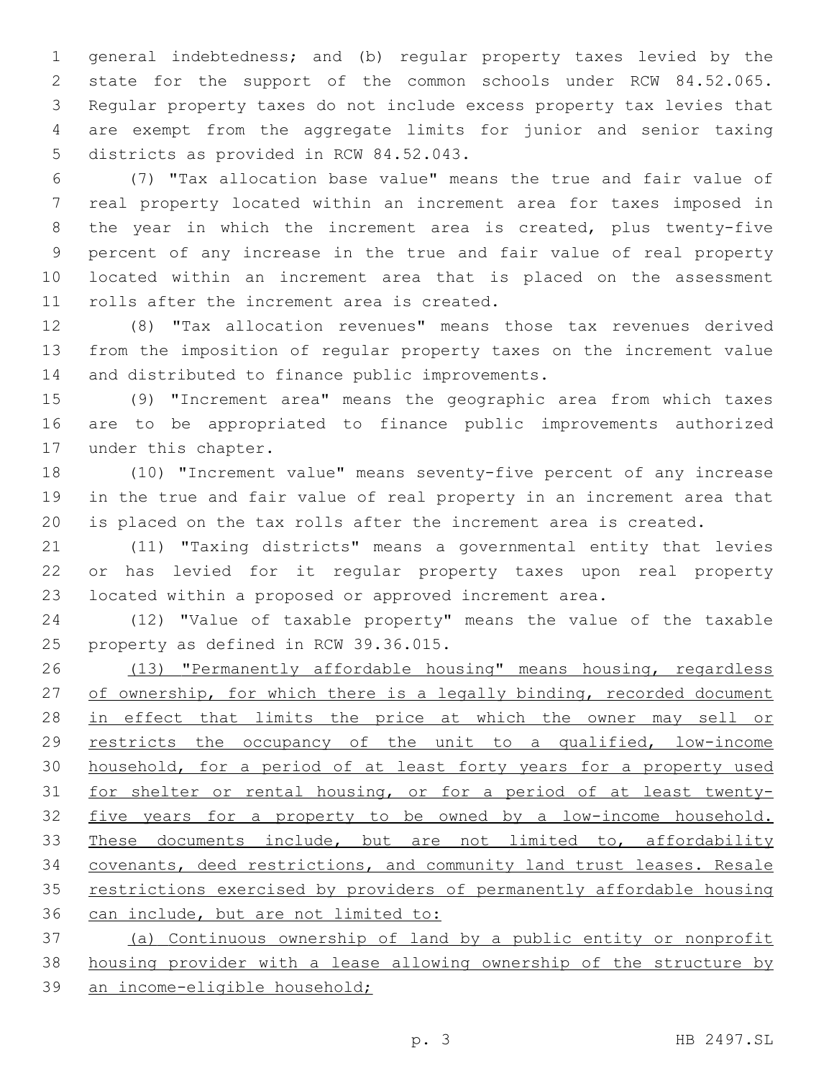general indebtedness; and (b) regular property taxes levied by the state for the support of the common schools under RCW 84.52.065. Regular property taxes do not include excess property tax levies that are exempt from the aggregate limits for junior and senior taxing 5 districts as provided in RCW 84.52.043.

 (7) "Tax allocation base value" means the true and fair value of real property located within an increment area for taxes imposed in the year in which the increment area is created, plus twenty-five percent of any increase in the true and fair value of real property located within an increment area that is placed on the assessment 11 rolls after the increment area is created.

 (8) "Tax allocation revenues" means those tax revenues derived from the imposition of regular property taxes on the increment value 14 and distributed to finance public improvements.

 (9) "Increment area" means the geographic area from which taxes are to be appropriated to finance public improvements authorized 17 under this chapter.

 (10) "Increment value" means seventy-five percent of any increase in the true and fair value of real property in an increment area that is placed on the tax rolls after the increment area is created.

 (11) "Taxing districts" means a governmental entity that levies or has levied for it regular property taxes upon real property located within a proposed or approved increment area.

 (12) "Value of taxable property" means the value of the taxable 25 property as defined in RCW 39.36.015.

 (13) "Permanently affordable housing" means housing, regardless 27 of ownership, for which there is a legally binding, recorded document 28 in effect that limits the price at which the owner may sell or 29 restricts the occupancy of the unit to a qualified, low-income 30 household, for a period of at least forty years for a property used for shelter or rental housing, or for a period of at least twenty- five years for a property to be owned by a low-income household. 33 These documents include, but are not limited to, affordability covenants, deed restrictions, and community land trust leases. Resale restrictions exercised by providers of permanently affordable housing can include, but are not limited to:

 (a) Continuous ownership of land by a public entity or nonprofit housing provider with a lease allowing ownership of the structure by an income-eligible household;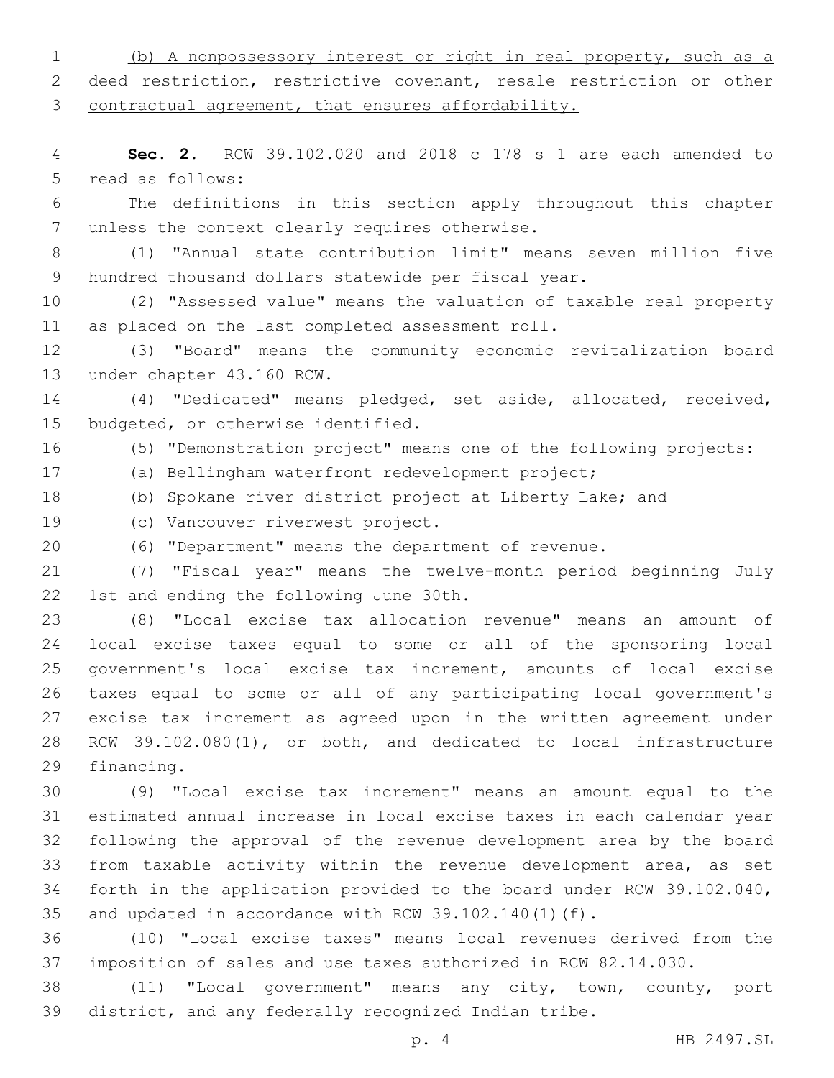(b) A nonpossessory interest or right in real property, such as a deed restriction, restrictive covenant, resale restriction or other contractual agreement, that ensures affordability. **Sec. 2.** RCW 39.102.020 and 2018 c 178 s 1 are each amended to 5 read as follows: The definitions in this section apply throughout this chapter 7 unless the context clearly requires otherwise. (1) "Annual state contribution limit" means seven million five hundred thousand dollars statewide per fiscal year. (2) "Assessed value" means the valuation of taxable real property 11 as placed on the last completed assessment roll. (3) "Board" means the community economic revitalization board 13 under chapter 43.160 RCW. (4) "Dedicated" means pledged, set aside, allocated, received, 15 budgeted, or otherwise identified. (5) "Demonstration project" means one of the following projects: (a) Bellingham waterfront redevelopment project; (b) Spokane river district project at Liberty Lake; and 19 (c) Vancouver riverwest project. (6) "Department" means the department of revenue. (7) "Fiscal year" means the twelve-month period beginning July 22 1st and ending the following June 30th. (8) "Local excise tax allocation revenue" means an amount of local excise taxes equal to some or all of the sponsoring local government's local excise tax increment, amounts of local excise taxes equal to some or all of any participating local government's excise tax increment as agreed upon in the written agreement under RCW 39.102.080(1), or both, and dedicated to local infrastructure 29 financing. (9) "Local excise tax increment" means an amount equal to the estimated annual increase in local excise taxes in each calendar year following the approval of the revenue development area by the board from taxable activity within the revenue development area, as set forth in the application provided to the board under RCW 39.102.040, and updated in accordance with RCW 39.102.140(1)(f). (10) "Local excise taxes" means local revenues derived from the imposition of sales and use taxes authorized in RCW 82.14.030. (11) "Local government" means any city, town, county, port district, and any federally recognized Indian tribe. p. 4 HB 2497.SL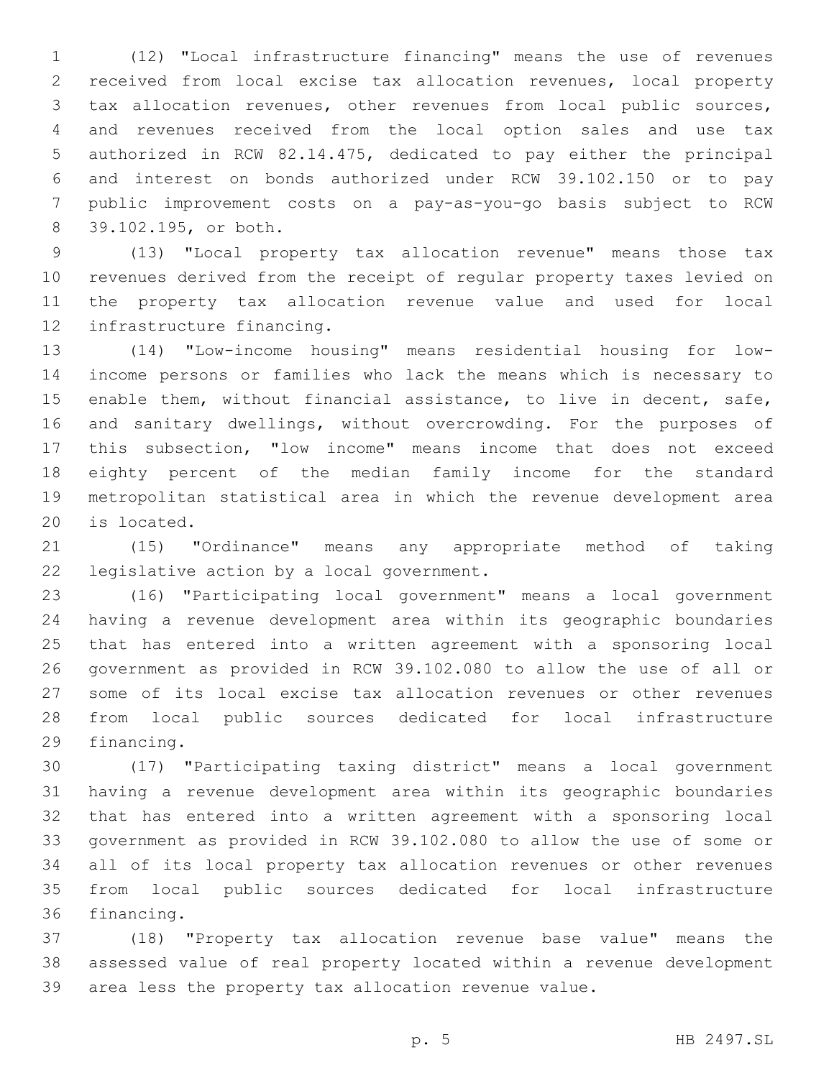(12) "Local infrastructure financing" means the use of revenues received from local excise tax allocation revenues, local property tax allocation revenues, other revenues from local public sources, and revenues received from the local option sales and use tax authorized in RCW 82.14.475, dedicated to pay either the principal and interest on bonds authorized under RCW 39.102.150 or to pay public improvement costs on a pay-as-you-go basis subject to RCW 39.102.195, or both.8

 (13) "Local property tax allocation revenue" means those tax revenues derived from the receipt of regular property taxes levied on the property tax allocation revenue value and used for local 12 infrastructure financing.

 (14) "Low-income housing" means residential housing for low- income persons or families who lack the means which is necessary to enable them, without financial assistance, to live in decent, safe, and sanitary dwellings, without overcrowding. For the purposes of this subsection, "low income" means income that does not exceed eighty percent of the median family income for the standard metropolitan statistical area in which the revenue development area 20 is located.

 (15) "Ordinance" means any appropriate method of taking 22 legislative action by a local government.

 (16) "Participating local government" means a local government having a revenue development area within its geographic boundaries that has entered into a written agreement with a sponsoring local government as provided in RCW 39.102.080 to allow the use of all or some of its local excise tax allocation revenues or other revenues from local public sources dedicated for local infrastructure 29 financing.

 (17) "Participating taxing district" means a local government having a revenue development area within its geographic boundaries that has entered into a written agreement with a sponsoring local government as provided in RCW 39.102.080 to allow the use of some or all of its local property tax allocation revenues or other revenues from local public sources dedicated for local infrastructure 36 financing.

 (18) "Property tax allocation revenue base value" means the assessed value of real property located within a revenue development area less the property tax allocation revenue value.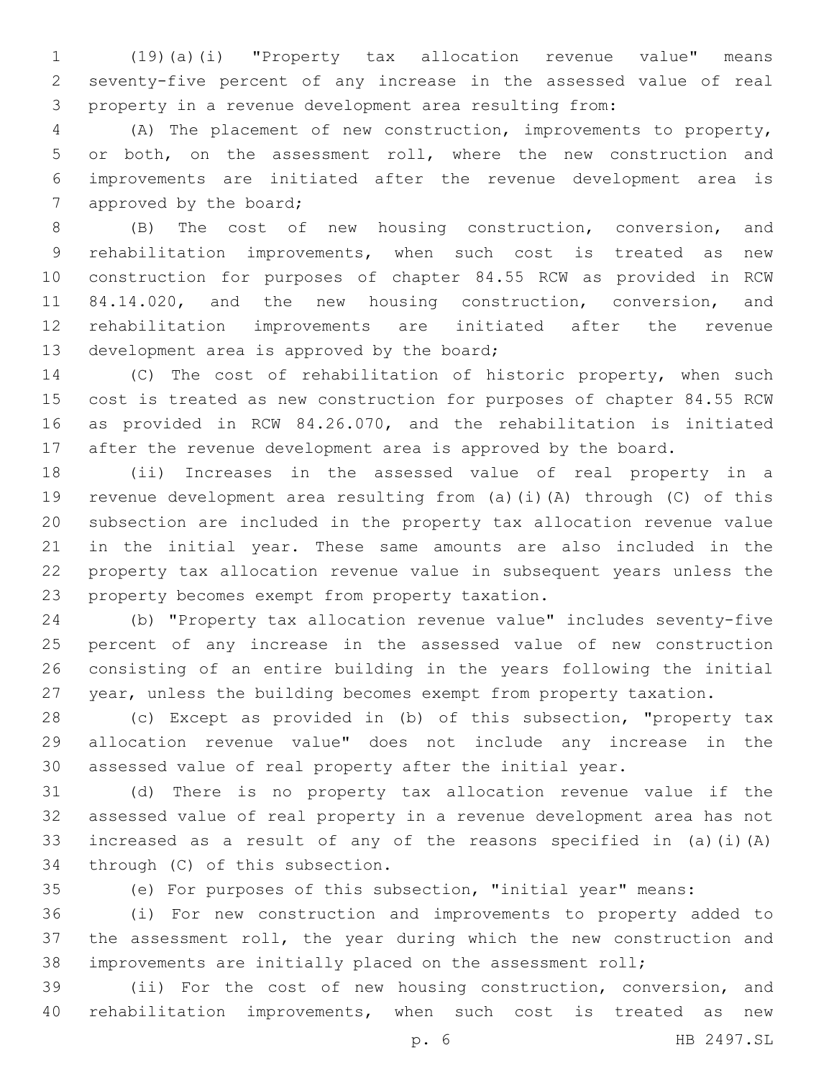(19)(a)(i) "Property tax allocation revenue value" means seventy-five percent of any increase in the assessed value of real property in a revenue development area resulting from:

 (A) The placement of new construction, improvements to property, or both, on the assessment roll, where the new construction and improvements are initiated after the revenue development area is 7 approved by the board;

 (B) The cost of new housing construction, conversion, and rehabilitation improvements, when such cost is treated as new construction for purposes of chapter 84.55 RCW as provided in RCW 84.14.020, and the new housing construction, conversion, and rehabilitation improvements are initiated after the revenue 13 development area is approved by the board;

 (C) The cost of rehabilitation of historic property, when such cost is treated as new construction for purposes of chapter 84.55 RCW as provided in RCW 84.26.070, and the rehabilitation is initiated after the revenue development area is approved by the board.

 (ii) Increases in the assessed value of real property in a revenue development area resulting from (a)(i)(A) through (C) of this subsection are included in the property tax allocation revenue value in the initial year. These same amounts are also included in the property tax allocation revenue value in subsequent years unless the 23 property becomes exempt from property taxation.

 (b) "Property tax allocation revenue value" includes seventy-five percent of any increase in the assessed value of new construction consisting of an entire building in the years following the initial year, unless the building becomes exempt from property taxation.

 (c) Except as provided in (b) of this subsection, "property tax allocation revenue value" does not include any increase in the assessed value of real property after the initial year.

 (d) There is no property tax allocation revenue value if the assessed value of real property in a revenue development area has not increased as a result of any of the reasons specified in (a)(i)(A) 34 through (C) of this subsection.

(e) For purposes of this subsection, "initial year" means:

 (i) For new construction and improvements to property added to the assessment roll, the year during which the new construction and improvements are initially placed on the assessment roll;

 (ii) For the cost of new housing construction, conversion, and rehabilitation improvements, when such cost is treated as new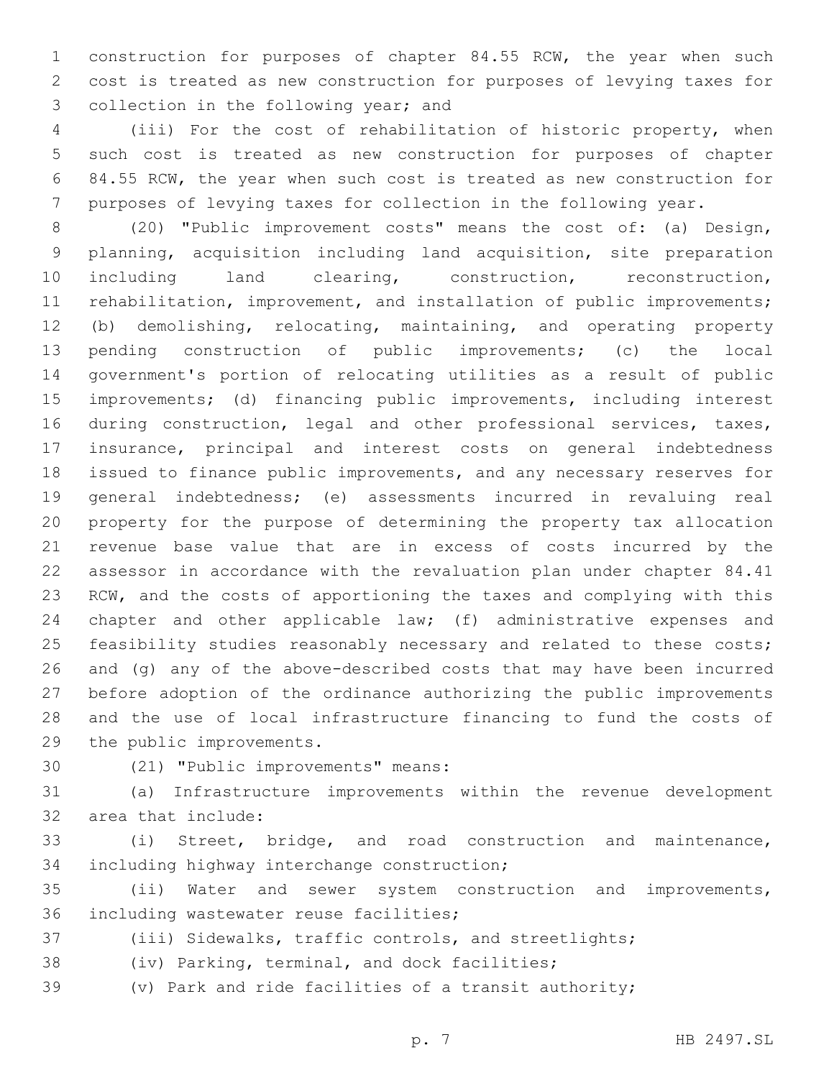construction for purposes of chapter 84.55 RCW, the year when such cost is treated as new construction for purposes of levying taxes for 3 collection in the following year; and

 (iii) For the cost of rehabilitation of historic property, when such cost is treated as new construction for purposes of chapter 84.55 RCW, the year when such cost is treated as new construction for purposes of levying taxes for collection in the following year.

 (20) "Public improvement costs" means the cost of: (a) Design, planning, acquisition including land acquisition, site preparation including land clearing, construction, reconstruction, rehabilitation, improvement, and installation of public improvements; (b) demolishing, relocating, maintaining, and operating property pending construction of public improvements; (c) the local government's portion of relocating utilities as a result of public improvements; (d) financing public improvements, including interest during construction, legal and other professional services, taxes, insurance, principal and interest costs on general indebtedness issued to finance public improvements, and any necessary reserves for general indebtedness; (e) assessments incurred in revaluing real property for the purpose of determining the property tax allocation revenue base value that are in excess of costs incurred by the assessor in accordance with the revaluation plan under chapter 84.41 RCW, and the costs of apportioning the taxes and complying with this 24 chapter and other applicable law; (f) administrative expenses and 25 feasibility studies reasonably necessary and related to these costs; and (g) any of the above-described costs that may have been incurred before adoption of the ordinance authorizing the public improvements and the use of local infrastructure financing to fund the costs of 29 the public improvements.

30 (21) "Public improvements" means:

 (a) Infrastructure improvements within the revenue development 32 area that include:

 (i) Street, bridge, and road construction and maintenance, 34 including highway interchange construction;

 (ii) Water and sewer system construction and improvements, 36 including wastewater reuse facilities;

(iii) Sidewalks, traffic controls, and streetlights;

38 (iv) Parking, terminal, and dock facilities;

(v) Park and ride facilities of a transit authority;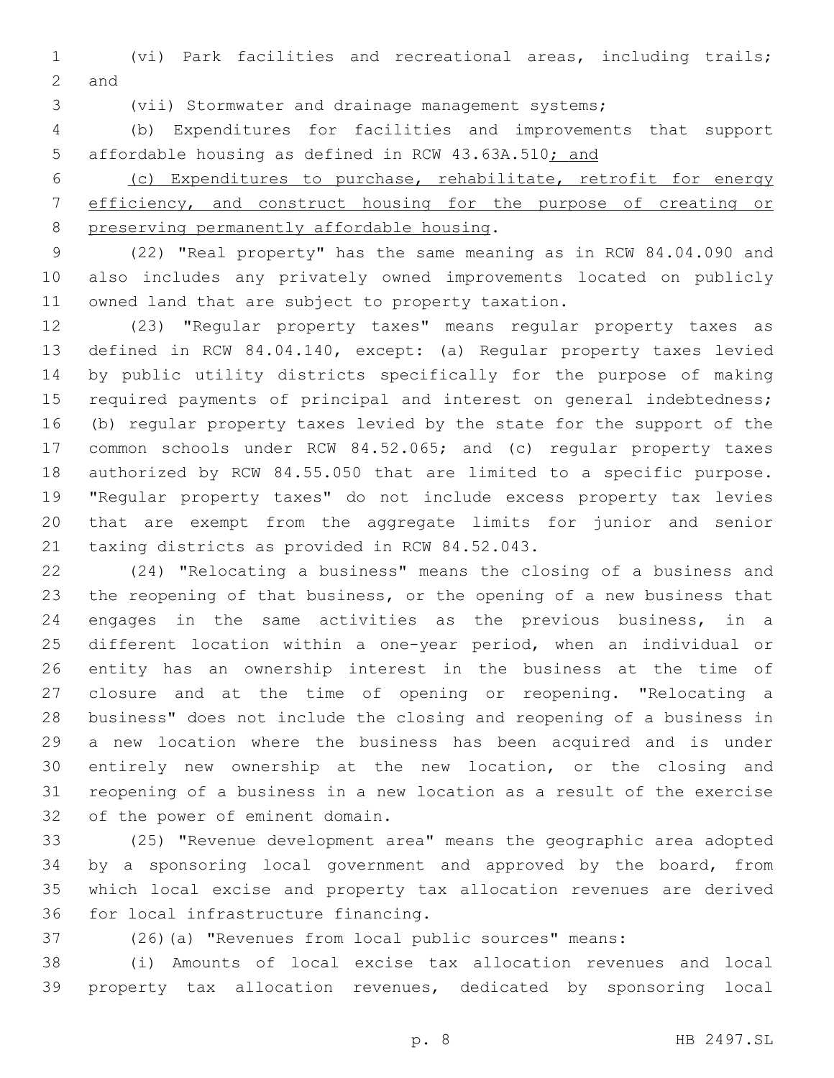(vi) Park facilities and recreational areas, including trails; 2 and

(vii) Stormwater and drainage management systems;

 (b) Expenditures for facilities and improvements that support affordable housing as defined in RCW 43.63A.510; and

 (c) Expenditures to purchase, rehabilitate, retrofit for energy efficiency, and construct housing for the purpose of creating or 8 preserving permanently affordable housing.

 (22) "Real property" has the same meaning as in RCW 84.04.090 and also includes any privately owned improvements located on publicly 11 owned land that are subject to property taxation.

 (23) "Regular property taxes" means regular property taxes as defined in RCW 84.04.140, except: (a) Regular property taxes levied by public utility districts specifically for the purpose of making 15 required payments of principal and interest on general indebtedness; (b) regular property taxes levied by the state for the support of the common schools under RCW 84.52.065; and (c) regular property taxes authorized by RCW 84.55.050 that are limited to a specific purpose. "Regular property taxes" do not include excess property tax levies that are exempt from the aggregate limits for junior and senior 21 taxing districts as provided in RCW 84.52.043.

 (24) "Relocating a business" means the closing of a business and the reopening of that business, or the opening of a new business that engages in the same activities as the previous business, in a different location within a one-year period, when an individual or entity has an ownership interest in the business at the time of closure and at the time of opening or reopening. "Relocating a business" does not include the closing and reopening of a business in a new location where the business has been acquired and is under entirely new ownership at the new location, or the closing and reopening of a business in a new location as a result of the exercise 32 of the power of eminent domain.

 (25) "Revenue development area" means the geographic area adopted by a sponsoring local government and approved by the board, from which local excise and property tax allocation revenues are derived 36 for local infrastructure financing.

(26)(a) "Revenues from local public sources" means:

 (i) Amounts of local excise tax allocation revenues and local property tax allocation revenues, dedicated by sponsoring local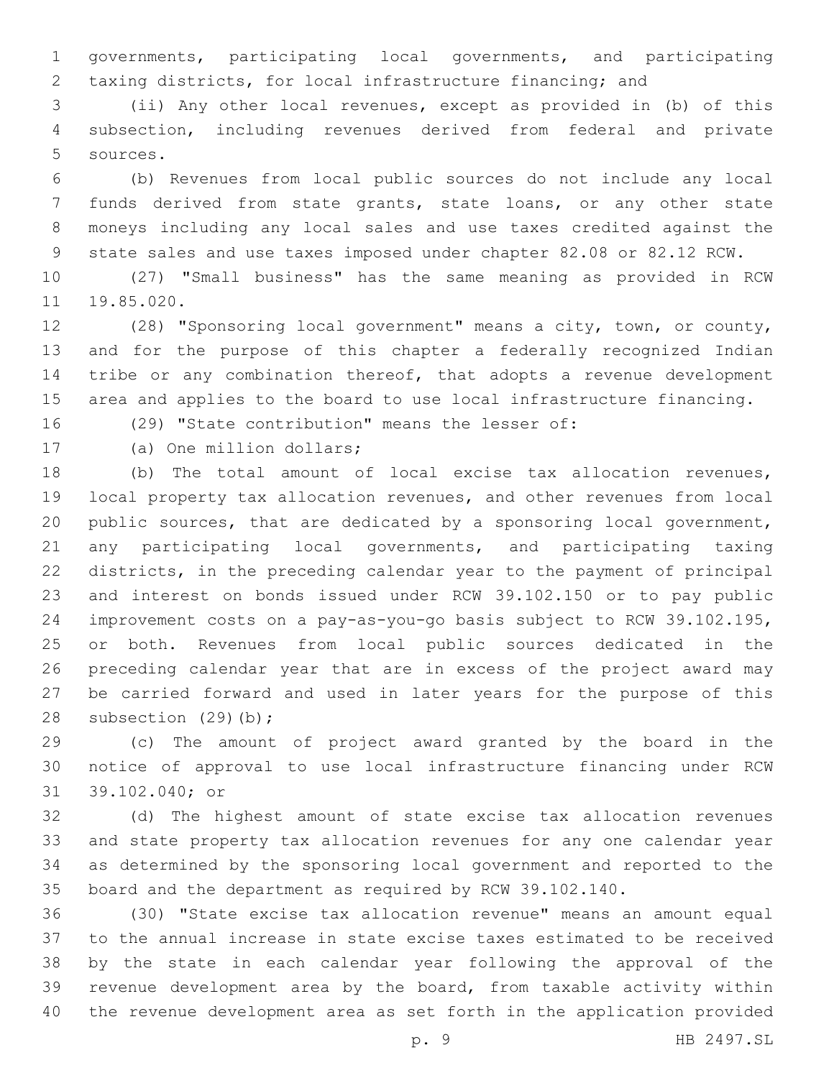governments, participating local governments, and participating taxing districts, for local infrastructure financing; and

 (ii) Any other local revenues, except as provided in (b) of this subsection, including revenues derived from federal and private 5 sources.

 (b) Revenues from local public sources do not include any local funds derived from state grants, state loans, or any other state moneys including any local sales and use taxes credited against the state sales and use taxes imposed under chapter 82.08 or 82.12 RCW.

 (27) "Small business" has the same meaning as provided in RCW 19.85.020.

 (28) "Sponsoring local government" means a city, town, or county, and for the purpose of this chapter a federally recognized Indian tribe or any combination thereof, that adopts a revenue development area and applies to the board to use local infrastructure financing.

(29) "State contribution" means the lesser of:

17 (a) One million dollars;

 (b) The total amount of local excise tax allocation revenues, local property tax allocation revenues, and other revenues from local public sources, that are dedicated by a sponsoring local government, any participating local governments, and participating taxing districts, in the preceding calendar year to the payment of principal and interest on bonds issued under RCW 39.102.150 or to pay public improvement costs on a pay-as-you-go basis subject to RCW 39.102.195, or both. Revenues from local public sources dedicated in the preceding calendar year that are in excess of the project award may be carried forward and used in later years for the purpose of this 28 subsection  $(29)(b)$ ;

 (c) The amount of project award granted by the board in the notice of approval to use local infrastructure financing under RCW 31 39.102.040; or

 (d) The highest amount of state excise tax allocation revenues and state property tax allocation revenues for any one calendar year as determined by the sponsoring local government and reported to the board and the department as required by RCW 39.102.140.

 (30) "State excise tax allocation revenue" means an amount equal to the annual increase in state excise taxes estimated to be received by the state in each calendar year following the approval of the revenue development area by the board, from taxable activity within the revenue development area as set forth in the application provided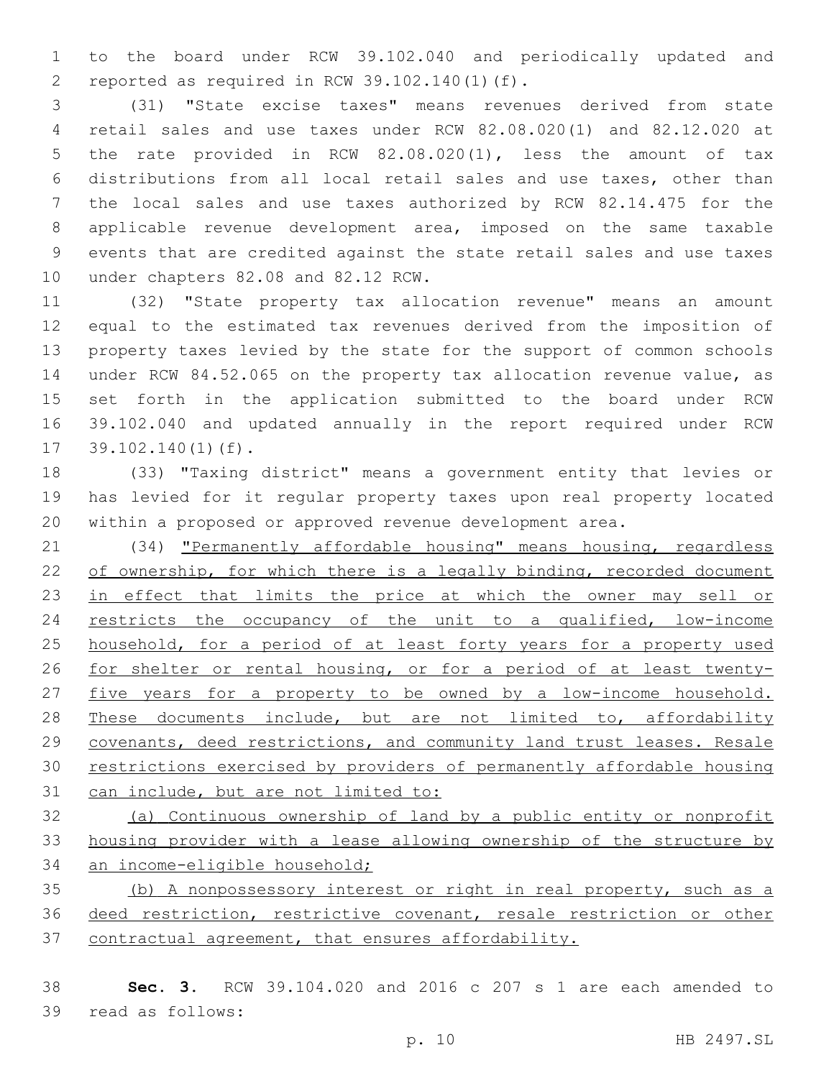to the board under RCW 39.102.040 and periodically updated and 2 reported as required in RCW  $39.102.140(1)(f)$ .

 (31) "State excise taxes" means revenues derived from state retail sales and use taxes under RCW 82.08.020(1) and 82.12.020 at the rate provided in RCW 82.08.020(1), less the amount of tax distributions from all local retail sales and use taxes, other than the local sales and use taxes authorized by RCW 82.14.475 for the applicable revenue development area, imposed on the same taxable events that are credited against the state retail sales and use taxes 10 under chapters 82.08 and 82.12 RCW.

 (32) "State property tax allocation revenue" means an amount equal to the estimated tax revenues derived from the imposition of property taxes levied by the state for the support of common schools under RCW 84.52.065 on the property tax allocation revenue value, as set forth in the application submitted to the board under RCW 39.102.040 and updated annually in the report required under RCW  $39.102.140(1)$  (f).

 (33) "Taxing district" means a government entity that levies or has levied for it regular property taxes upon real property located within a proposed or approved revenue development area.

 (34) "Permanently affordable housing" means housing, regardless 22 of ownership, for which there is a legally binding, recorded document 23 in effect that limits the price at which the owner may sell or restricts the occupancy of the unit to a qualified, low-income 25 household, for a period of at least forty years for a property used for shelter or rental housing, or for a period of at least twenty- five years for a property to be owned by a low-income household. 28 These documents include, but are not limited to, affordability covenants, deed restrictions, and community land trust leases. Resale restrictions exercised by providers of permanently affordable housing can include, but are not limited to:

 (a) Continuous ownership of land by a public entity or nonprofit 33 housing provider with a lease allowing ownership of the structure by 34 an income-eligible household;

 (b) A nonpossessory interest or right in real property, such as a 36 deed restriction, restrictive covenant, resale restriction or other contractual agreement, that ensures affordability.

 **Sec. 3.** RCW 39.104.020 and 2016 c 207 s 1 are each amended to 39 read as follows: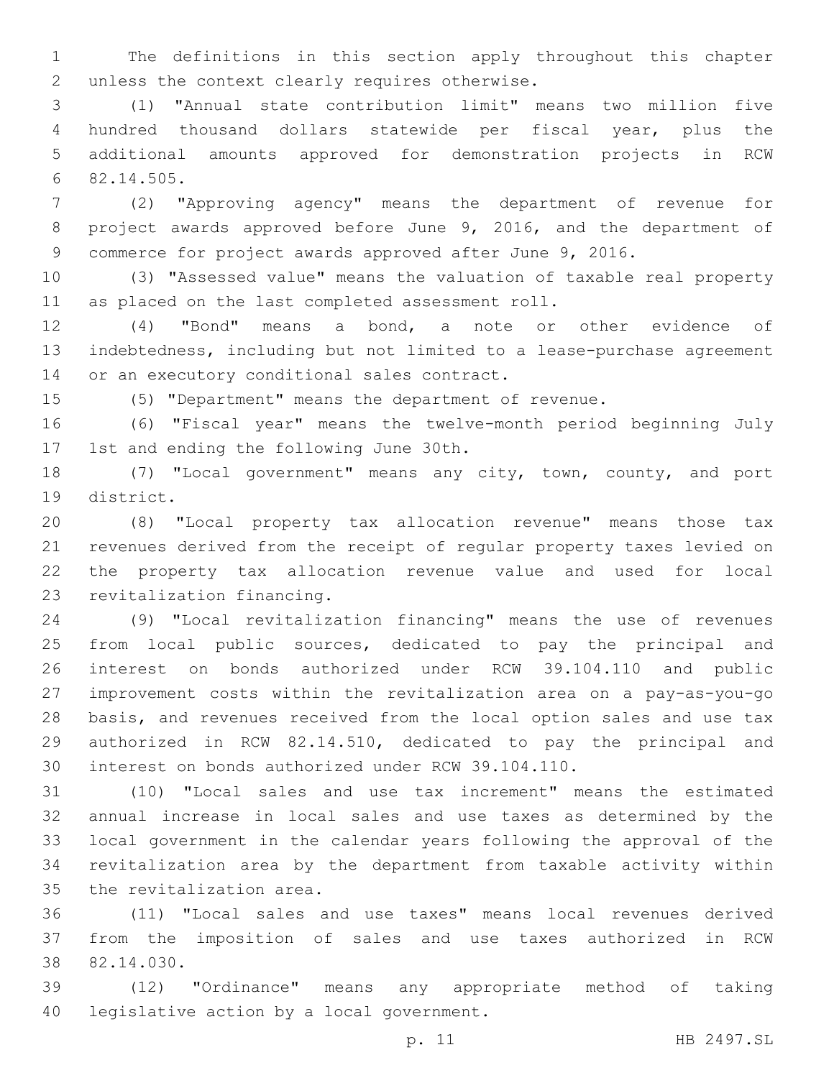The definitions in this section apply throughout this chapter 2 unless the context clearly requires otherwise.

 (1) "Annual state contribution limit" means two million five hundred thousand dollars statewide per fiscal year, plus the additional amounts approved for demonstration projects in RCW 82.14.505.6

 (2) "Approving agency" means the department of revenue for project awards approved before June 9, 2016, and the department of commerce for project awards approved after June 9, 2016.

 (3) "Assessed value" means the valuation of taxable real property 11 as placed on the last completed assessment roll.

 (4) "Bond" means a bond, a note or other evidence of indebtedness, including but not limited to a lease-purchase agreement 14 or an executory conditional sales contract.

(5) "Department" means the department of revenue.

 (6) "Fiscal year" means the twelve-month period beginning July 17 1st and ending the following June 30th.

 (7) "Local government" means any city, town, county, and port 19 district.

 (8) "Local property tax allocation revenue" means those tax revenues derived from the receipt of regular property taxes levied on the property tax allocation revenue value and used for local 23 revitalization financing.

 (9) "Local revitalization financing" means the use of revenues from local public sources, dedicated to pay the principal and interest on bonds authorized under RCW 39.104.110 and public improvement costs within the revitalization area on a pay-as-you-go basis, and revenues received from the local option sales and use tax authorized in RCW 82.14.510, dedicated to pay the principal and interest on bonds authorized under RCW 39.104.110.

 (10) "Local sales and use tax increment" means the estimated annual increase in local sales and use taxes as determined by the local government in the calendar years following the approval of the revitalization area by the department from taxable activity within 35 the revitalization area.

 (11) "Local sales and use taxes" means local revenues derived from the imposition of sales and use taxes authorized in RCW 38 82.14.030.

 (12) "Ordinance" means any appropriate method of taking 40 legislative action by a local government.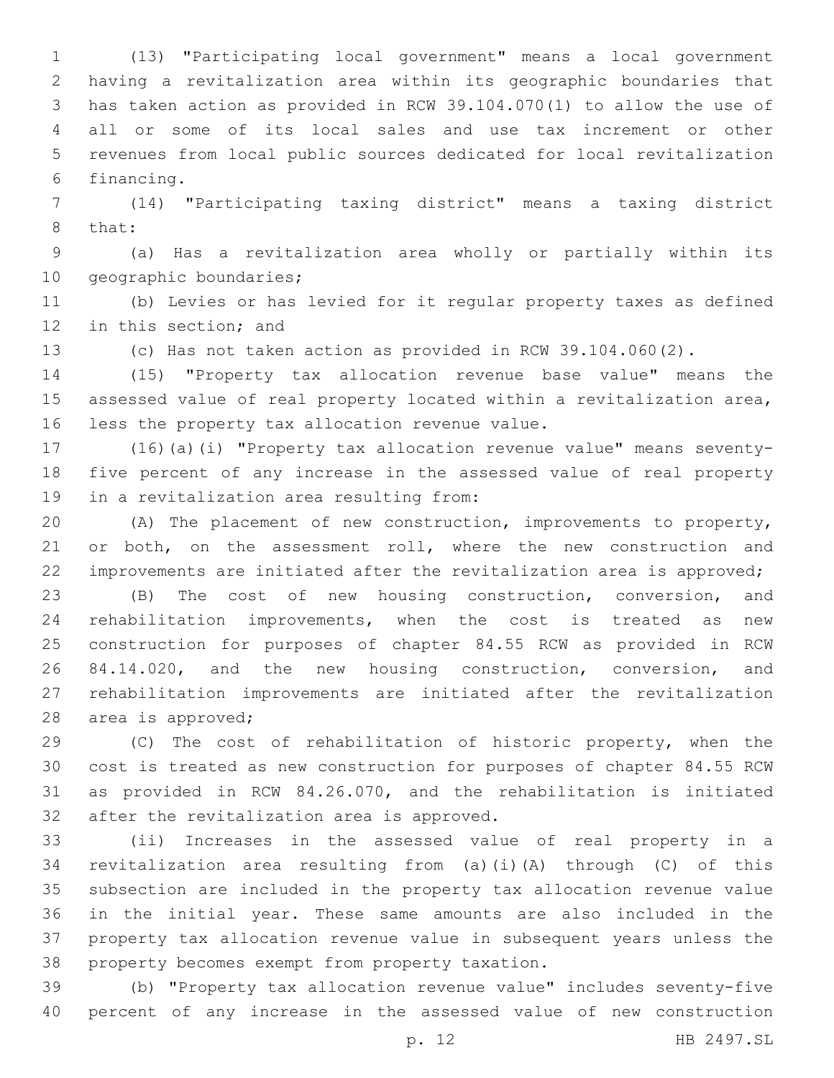(13) "Participating local government" means a local government having a revitalization area within its geographic boundaries that has taken action as provided in RCW 39.104.070(1) to allow the use of all or some of its local sales and use tax increment or other revenues from local public sources dedicated for local revitalization 6 financing.

 (14) "Participating taxing district" means a taxing district 8 that:

 (a) Has a revitalization area wholly or partially within its 10 geographic boundaries;

 (b) Levies or has levied for it regular property taxes as defined 12 in this section; and

(c) Has not taken action as provided in RCW 39.104.060(2).

 (15) "Property tax allocation revenue base value" means the assessed value of real property located within a revitalization area, 16 less the property tax allocation revenue value.

 (16)(a)(i) "Property tax allocation revenue value" means seventy- five percent of any increase in the assessed value of real property 19 in a revitalization area resulting from:

 (A) The placement of new construction, improvements to property, 21 or both, on the assessment roll, where the new construction and improvements are initiated after the revitalization area is approved;

 (B) The cost of new housing construction, conversion, and rehabilitation improvements, when the cost is treated as new construction for purposes of chapter 84.55 RCW as provided in RCW 84.14.020, and the new housing construction, conversion, and rehabilitation improvements are initiated after the revitalization 28 area is approved;

 (C) The cost of rehabilitation of historic property, when the cost is treated as new construction for purposes of chapter 84.55 RCW as provided in RCW 84.26.070, and the rehabilitation is initiated 32 after the revitalization area is approved.

 (ii) Increases in the assessed value of real property in a revitalization area resulting from (a)(i)(A) through (C) of this subsection are included in the property tax allocation revenue value in the initial year. These same amounts are also included in the property tax allocation revenue value in subsequent years unless the 38 property becomes exempt from property taxation.

 (b) "Property tax allocation revenue value" includes seventy-five percent of any increase in the assessed value of new construction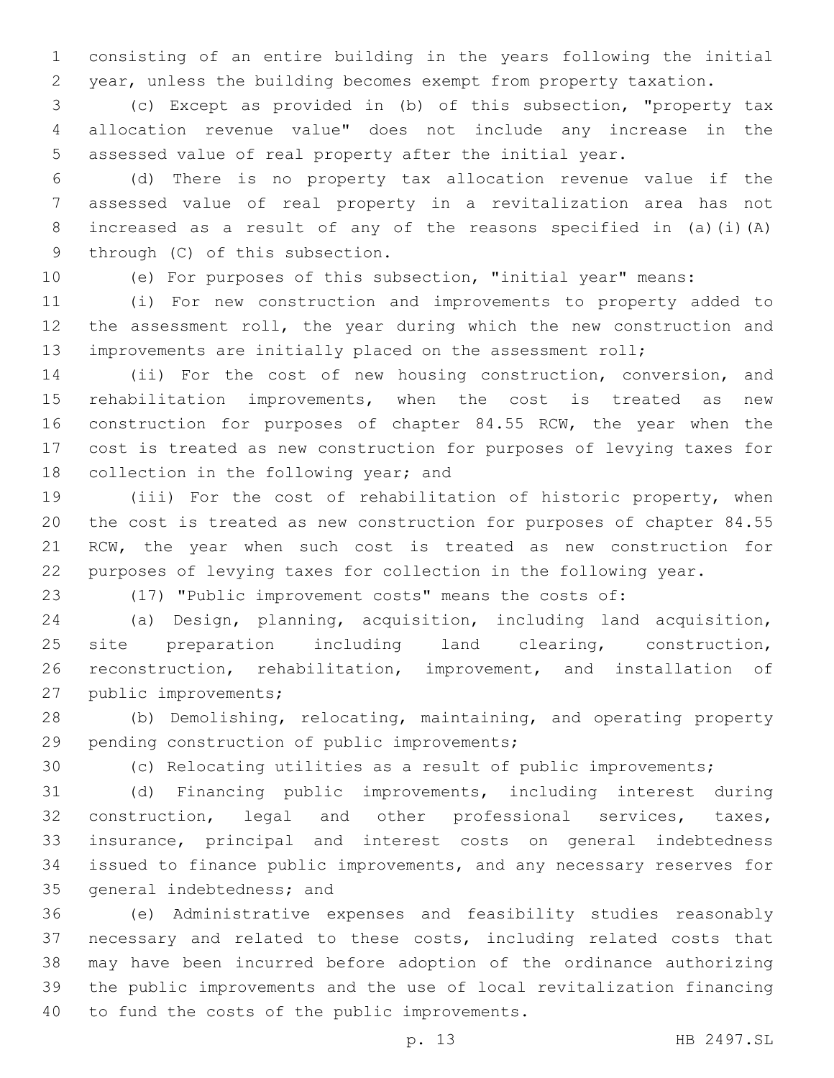consisting of an entire building in the years following the initial year, unless the building becomes exempt from property taxation.

 (c) Except as provided in (b) of this subsection, "property tax allocation revenue value" does not include any increase in the assessed value of real property after the initial year.

 (d) There is no property tax allocation revenue value if the assessed value of real property in a revitalization area has not increased as a result of any of the reasons specified in (a)(i)(A) 9 through (C) of this subsection.

(e) For purposes of this subsection, "initial year" means:

 (i) For new construction and improvements to property added to the assessment roll, the year during which the new construction and improvements are initially placed on the assessment roll;

 (ii) For the cost of new housing construction, conversion, and rehabilitation improvements, when the cost is treated as new 16 construction for purposes of chapter 84.55 RCW, the year when the cost is treated as new construction for purposes of levying taxes for 18 collection in the following year; and

 (iii) For the cost of rehabilitation of historic property, when the cost is treated as new construction for purposes of chapter 84.55 RCW, the year when such cost is treated as new construction for purposes of levying taxes for collection in the following year.

(17) "Public improvement costs" means the costs of:

 (a) Design, planning, acquisition, including land acquisition, site preparation including land clearing, construction, reconstruction, rehabilitation, improvement, and installation of 27 public improvements;

 (b) Demolishing, relocating, maintaining, and operating property 29 pending construction of public improvements;

(c) Relocating utilities as a result of public improvements;

 (d) Financing public improvements, including interest during construction, legal and other professional services, taxes, insurance, principal and interest costs on general indebtedness issued to finance public improvements, and any necessary reserves for 35 general indebtedness; and

 (e) Administrative expenses and feasibility studies reasonably necessary and related to these costs, including related costs that may have been incurred before adoption of the ordinance authorizing the public improvements and the use of local revitalization financing 40 to fund the costs of the public improvements.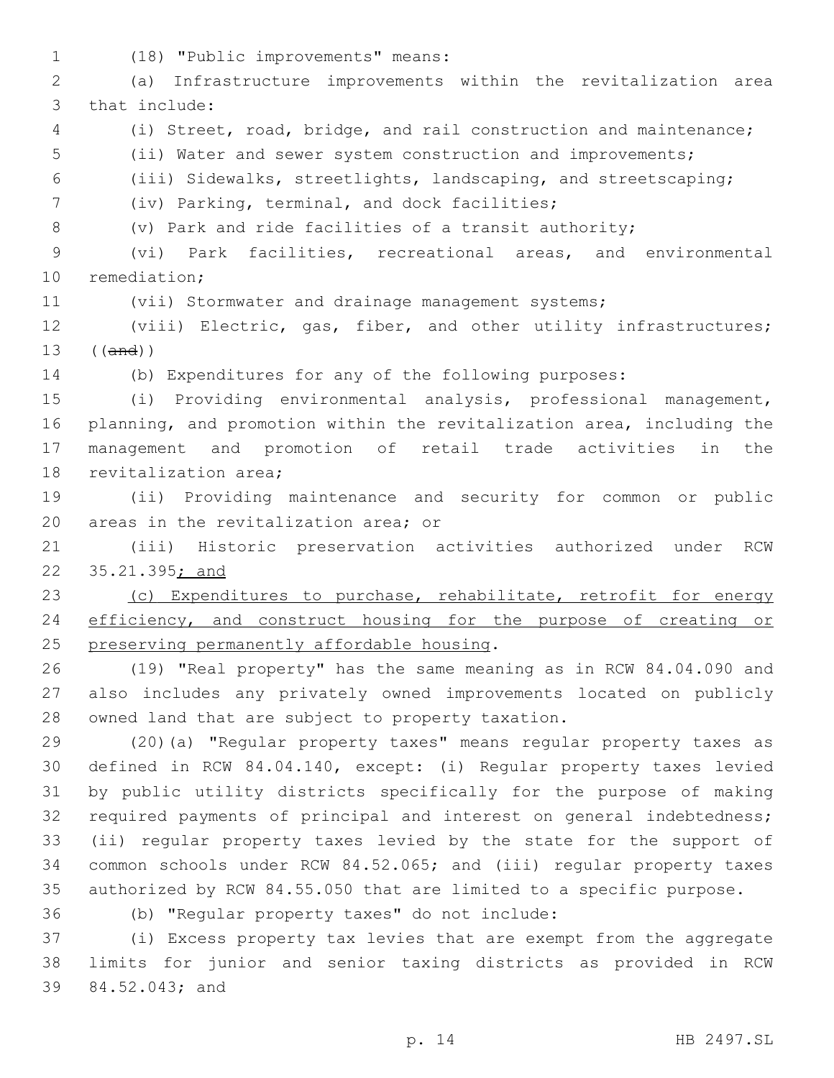(18) "Public improvements" means:1 (a) Infrastructure improvements within the revitalization area 3 that include: (i) Street, road, bridge, and rail construction and maintenance; (ii) Water and sewer system construction and improvements; (iii) Sidewalks, streetlights, landscaping, and streetscaping; (iv) Parking, terminal, and dock facilities;7 (v) Park and ride facilities of a transit authority; (vi) Park facilities, recreational areas, and environmental 10 remediation; (vii) Stormwater and drainage management systems; (viii) Electric, gas, fiber, and other utility infrastructures; ((and)) (b) Expenditures for any of the following purposes: (i) Providing environmental analysis, professional management, planning, and promotion within the revitalization area, including the management and promotion of retail trade activities in the 18 revitalization area; (ii) Providing maintenance and security for common or public 20 areas in the revitalization area; or (iii) Historic preservation activities authorized under RCW 35.21.395; and 23 (c) Expenditures to purchase, rehabilitate, retrofit for energy efficiency, and construct housing for the purpose of creating or 25 preserving permanently affordable housing. (19) "Real property" has the same meaning as in RCW 84.04.090 and also includes any privately owned improvements located on publicly 28 owned land that are subject to property taxation. (20)(a) "Regular property taxes" means regular property taxes as defined in RCW 84.04.140, except: (i) Regular property taxes levied by public utility districts specifically for the purpose of making required payments of principal and interest on general indebtedness; (ii) regular property taxes levied by the state for the support of common schools under RCW 84.52.065; and (iii) regular property taxes authorized by RCW 84.55.050 that are limited to a specific purpose. (b) "Regular property taxes" do not include:36 (i) Excess property tax levies that are exempt from the aggregate limits for junior and senior taxing districts as provided in RCW

39 84.52.043; and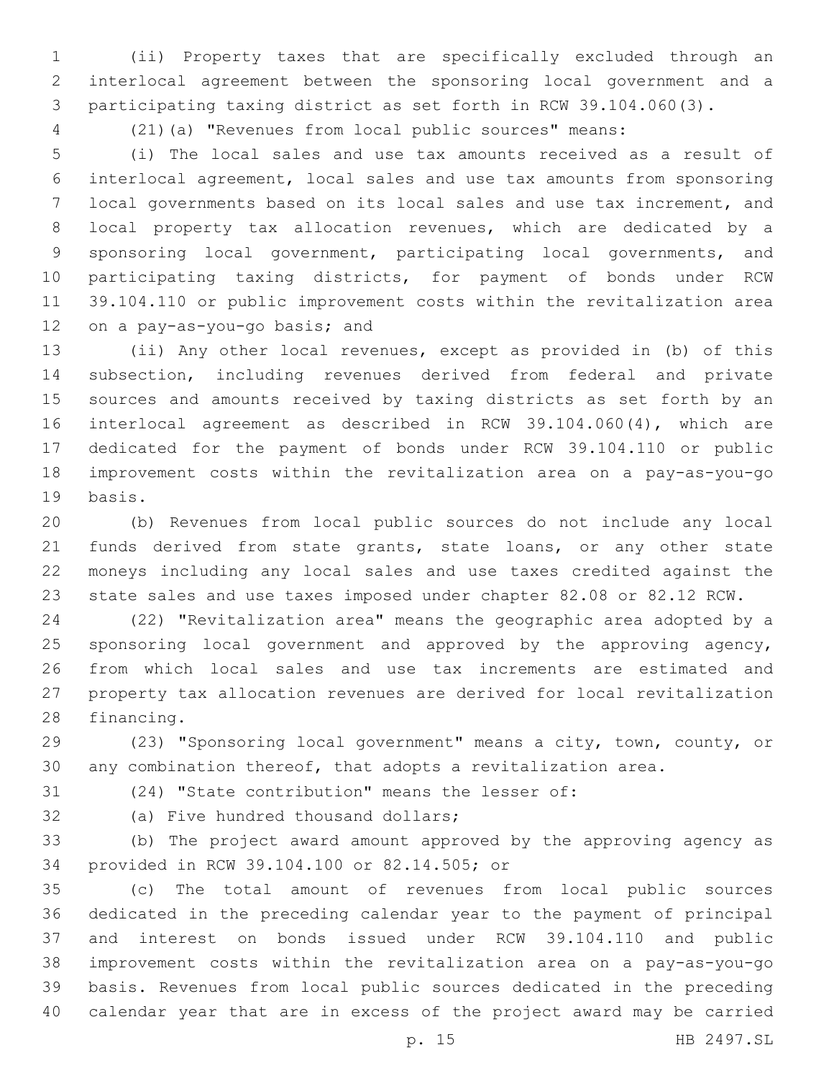(ii) Property taxes that are specifically excluded through an interlocal agreement between the sponsoring local government and a participating taxing district as set forth in RCW 39.104.060(3).

(21)(a) "Revenues from local public sources" means:

 (i) The local sales and use tax amounts received as a result of interlocal agreement, local sales and use tax amounts from sponsoring local governments based on its local sales and use tax increment, and local property tax allocation revenues, which are dedicated by a sponsoring local government, participating local governments, and participating taxing districts, for payment of bonds under RCW 39.104.110 or public improvement costs within the revitalization area 12 on a pay-as-you-go basis; and

 (ii) Any other local revenues, except as provided in (b) of this subsection, including revenues derived from federal and private sources and amounts received by taxing districts as set forth by an interlocal agreement as described in RCW 39.104.060(4), which are dedicated for the payment of bonds under RCW 39.104.110 or public improvement costs within the revitalization area on a pay-as-you-go 19 basis.

 (b) Revenues from local public sources do not include any local 21 funds derived from state grants, state loans, or any other state moneys including any local sales and use taxes credited against the state sales and use taxes imposed under chapter 82.08 or 82.12 RCW.

 (22) "Revitalization area" means the geographic area adopted by a sponsoring local government and approved by the approving agency, from which local sales and use tax increments are estimated and property tax allocation revenues are derived for local revitalization 28 financing.

 (23) "Sponsoring local government" means a city, town, county, or any combination thereof, that adopts a revitalization area.

(24) "State contribution" means the lesser of:

32 (a) Five hundred thousand dollars;

 (b) The project award amount approved by the approving agency as 34 provided in RCW 39.104.100 or 82.14.505; or

 (c) The total amount of revenues from local public sources dedicated in the preceding calendar year to the payment of principal and interest on bonds issued under RCW 39.104.110 and public improvement costs within the revitalization area on a pay-as-you-go basis. Revenues from local public sources dedicated in the preceding calendar year that are in excess of the project award may be carried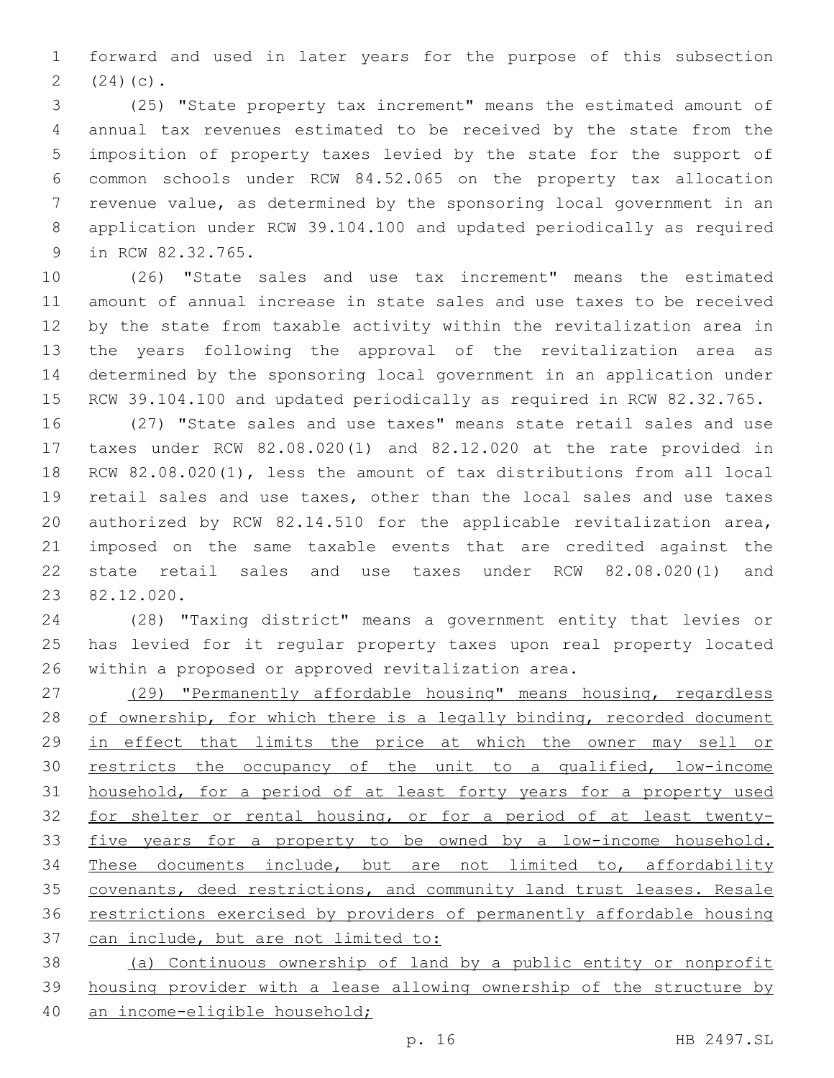forward and used in later years for the purpose of this subsection 2  $(24)(c)$ .

 (25) "State property tax increment" means the estimated amount of annual tax revenues estimated to be received by the state from the imposition of property taxes levied by the state for the support of common schools under RCW 84.52.065 on the property tax allocation revenue value, as determined by the sponsoring local government in an application under RCW 39.104.100 and updated periodically as required 9 in RCW 82.32.765.

 (26) "State sales and use tax increment" means the estimated amount of annual increase in state sales and use taxes to be received by the state from taxable activity within the revitalization area in the years following the approval of the revitalization area as determined by the sponsoring local government in an application under RCW 39.104.100 and updated periodically as required in RCW 82.32.765.

 (27) "State sales and use taxes" means state retail sales and use taxes under RCW 82.08.020(1) and 82.12.020 at the rate provided in RCW 82.08.020(1), less the amount of tax distributions from all local retail sales and use taxes, other than the local sales and use taxes authorized by RCW 82.14.510 for the applicable revitalization area, imposed on the same taxable events that are credited against the state retail sales and use taxes under RCW 82.08.020(1) and 82.12.020.23

 (28) "Taxing district" means a government entity that levies or has levied for it regular property taxes upon real property located within a proposed or approved revitalization area.

 (29) "Permanently affordable housing" means housing, regardless 28 of ownership, for which there is a legally binding, recorded document in effect that limits the price at which the owner may sell or 30 restricts the occupancy of the unit to a qualified, low-income household, for a period of at least forty years for a property used for shelter or rental housing, or for a period of at least twenty- five years for a property to be owned by a low-income household. These documents include, but are not limited to, affordability covenants, deed restrictions, and community land trust leases. Resale restrictions exercised by providers of permanently affordable housing can include, but are not limited to:

 (a) Continuous ownership of land by a public entity or nonprofit housing provider with a lease allowing ownership of the structure by an income-eligible household;